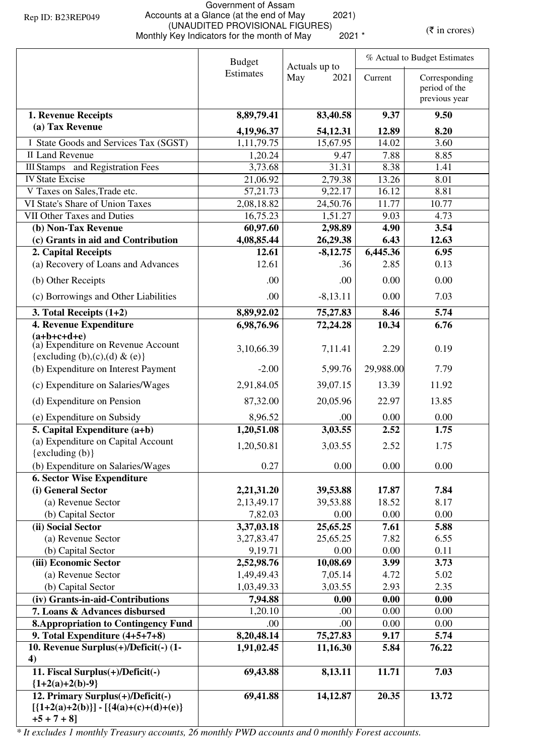## Government of Assam Accounts at a Glance (at the end of May 2021) (UNAUDITED PROVISIONAL FIGURES)<br>Monthly Key Indicators for the month of May 2021 \* (\* in crores)

|                                                                                                 | <b>Budget</b><br>Actuals up to |                      | % Actual to Budget Estimates |                                                 |  |
|-------------------------------------------------------------------------------------------------|--------------------------------|----------------------|------------------------------|-------------------------------------------------|--|
|                                                                                                 | Estimates                      | May<br>2021          | Current                      | Corresponding<br>period of the<br>previous year |  |
| 1. Revenue Receipts                                                                             | 8,89,79.41                     | 83,40.58             | 9.37                         | 9.50                                            |  |
| (a) Tax Revenue                                                                                 |                                |                      |                              |                                                 |  |
| I State Goods and Services Tax (SGST)                                                           | 4,19,96.37<br>1,11,79.75       | 54,12.31<br>15,67.95 | 12.89<br>14.02               | 8.20<br>3.60                                    |  |
| <b>II Land Revenue</b>                                                                          | 1,20.24                        | 9.47                 | 7.88                         | 8.85                                            |  |
| <b>III Stamps</b> and Registration Fees                                                         | 3,73.68                        | 31.31                | 8.38                         | 1.41                                            |  |
| <b>IV State Excise</b>                                                                          | 21,06.92                       | 2,79.38              | 13.26                        | 8.01                                            |  |
| V Taxes on Sales, Trade etc.                                                                    | 57,21.73                       | 9,22.17              | 16.12                        | 8.81                                            |  |
| VI State's Share of Union Taxes                                                                 | 2,08,18.82                     | 24,50.76             | 11.77                        | 10.77                                           |  |
| <b>VII Other Taxes and Duties</b>                                                               | 16,75.23                       | 1,51.27              | 9.03                         | 4.73                                            |  |
| (b) Non-Tax Revenue                                                                             | 60,97.60                       | 2,98.89              | 4.90                         | 3.54                                            |  |
| (c) Grants in aid and Contribution                                                              | 4,08,85.44                     | 26,29.38             | 6.43                         | 12.63                                           |  |
| 2. Capital Receipts                                                                             | 12.61                          | $-8,12.75$           | 6,445.36                     | 6.95                                            |  |
| (a) Recovery of Loans and Advances                                                              | 12.61                          | .36                  | 2.85                         | 0.13                                            |  |
| (b) Other Receipts                                                                              | .00                            | .00                  | 0.00                         | 0.00                                            |  |
| (c) Borrowings and Other Liabilities                                                            | .00                            | $-8,13.11$           | 0.00                         | 7.03                                            |  |
| 3. Total Receipts $(1+2)$                                                                       | 8,89,92.02                     | 75,27.83             | 8.46                         | 5.74                                            |  |
| 4. Revenue Expenditure                                                                          | 6,98,76.96                     | 72,24.28             | 10.34                        | 6.76                                            |  |
| $(a+b+c+d+e)$<br>(a) Expenditure on Revenue Account                                             | 3,10,66.39                     | 7,11.41              | 2.29                         | 0.19                                            |  |
| {excluding (b),(c),(d) & (e)}                                                                   |                                |                      |                              |                                                 |  |
| (b) Expenditure on Interest Payment                                                             | $-2.00$                        | 5,99.76              | 29,988.00                    | 7.79                                            |  |
| (c) Expenditure on Salaries/Wages                                                               | 2,91,84.05                     | 39,07.15             | 13.39                        | 11.92                                           |  |
| (d) Expenditure on Pension                                                                      | 87,32.00                       | 20,05.96             | 22.97                        | 13.85                                           |  |
| (e) Expenditure on Subsidy                                                                      | 8,96.52                        | .00                  | 0.00                         | 0.00                                            |  |
| 5. Capital Expenditure (a+b)                                                                    | 1,20,51.08                     | 3,03.55              | 2.52                         | 1.75                                            |  |
| (a) Expenditure on Capital Account<br>$\{excluding (b)\}$                                       | 1,20,50.81                     | 3,03.55              | 2.52                         | 1.75                                            |  |
| (b) Expenditure on Salaries/Wages                                                               | 0.27                           | 0.00                 | 0.00                         | 0.00                                            |  |
| <b>6. Sector Wise Expenditure</b>                                                               |                                |                      |                              |                                                 |  |
| (i) General Sector                                                                              | 2,21,31.20                     | 39,53.88             | 17.87                        | 7.84                                            |  |
| (a) Revenue Sector                                                                              | 2,13,49.17                     | 39,53.88             | 18.52                        | 8.17                                            |  |
| (b) Capital Sector                                                                              | 7,82.03                        | 0.00                 | 0.00                         | 0.00                                            |  |
| (ii) Social Sector                                                                              | 3,37,03.18                     | 25,65.25             | 7.61                         | 5.88                                            |  |
| (a) Revenue Sector                                                                              | 3,27,83.47                     | 25,65.25             | 7.82                         | 6.55                                            |  |
| (b) Capital Sector                                                                              | 9,19.71                        | 0.00                 | 0.00                         | 0.11                                            |  |
| (iii) Economic Sector                                                                           | 2,52,98.76                     | 10,08.69             | 3.99                         | 3.73                                            |  |
| (a) Revenue Sector                                                                              | 1,49,49.43                     | 7,05.14              | 4.72                         | 5.02                                            |  |
| (b) Capital Sector                                                                              | 1,03,49.33                     | 3,03.55              | 2.93                         | 2.35                                            |  |
| (iv) Grants-in-aid-Contributions                                                                | 7,94.88                        | 0.00                 | 0.00                         | 0.00                                            |  |
| 7. Loans & Advances disbursed                                                                   | 1,20.10                        | .00                  | 0.00                         | 0.00                                            |  |
| <b>8. Appropriation to Contingency Fund</b>                                                     | .00                            | .00                  | 0.00                         | 0.00                                            |  |
| 9. Total Expenditure (4+5+7+8)                                                                  | 8,20,48.14                     | 75,27.83             | 9.17                         | 5.74                                            |  |
| 10. Revenue Surplus(+)/Deficit(-) (1-<br>4)                                                     | 1,91,02.45                     | 11,16.30             | 5.84                         | 76.22                                           |  |
| 11. Fiscal Surplus(+)/Deficit(-)<br>${1+2(a)+2(b)-9}$                                           | 69,43.88                       | 8,13.11              | 11.71                        | 7.03                                            |  |
| 12. Primary Surplus(+)/Deficit(-)<br>$[{1+2(a)+2(b)}] - [{4(a)+(c)+(d)+(e)}]$<br>$+5 + 7 + 8$ ] | 69,41.88                       | 14,12.87             | 20.35                        | 13.72                                           |  |

*\* It excludes 1 monthly Treasury accounts, 26 monthly PWD accounts and 0 monthly Forest accounts.*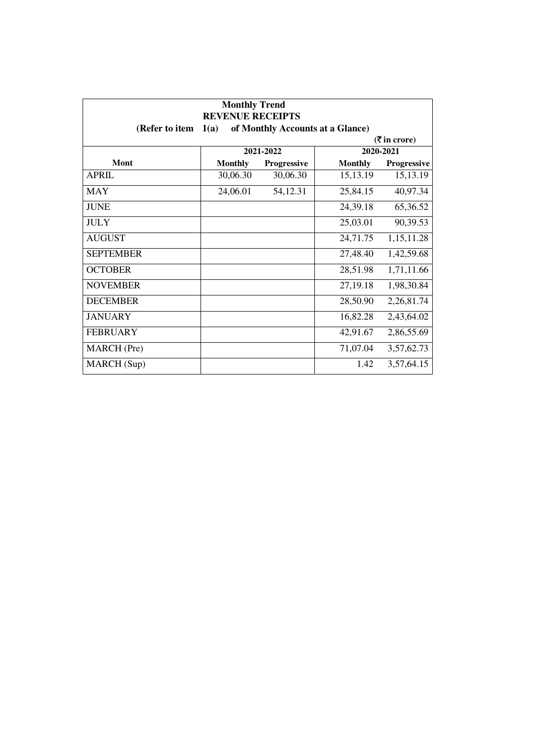| <b>Monthly Trend</b><br><b>REVENUE RECEIPTS</b><br>(Refer to item<br>of Monthly Accounts at a Glance)<br>1(a) |                |             |                |             |  |
|---------------------------------------------------------------------------------------------------------------|----------------|-------------|----------------|-------------|--|
| $(5 \text{ in } \text{core})$                                                                                 |                |             |                |             |  |
|                                                                                                               |                | 2021-2022   |                | 2020-2021   |  |
| Mont                                                                                                          | <b>Monthly</b> | Progressive | <b>Monthly</b> | Progressive |  |
| <b>APRIL</b>                                                                                                  | 30,06.30       | 30,06.30    | 15,13.19       | 15,13.19    |  |
| <b>MAY</b>                                                                                                    | 24,06.01       | 54,12.31    | 25,84.15       | 40,97.34    |  |
| <b>JUNE</b>                                                                                                   |                |             | 24,39.18       | 65,36.52    |  |
| <b>JULY</b>                                                                                                   |                |             | 25,03.01       | 90,39.53    |  |
| <b>AUGUST</b>                                                                                                 |                |             | 24,71.75       | 1,15,11.28  |  |
| <b>SEPTEMBER</b>                                                                                              |                |             | 27,48.40       | 1,42,59.68  |  |
| <b>OCTOBER</b>                                                                                                |                |             | 28,51.98       | 1,71,11.66  |  |
| <b>NOVEMBER</b>                                                                                               |                |             | 27,19.18       | 1,98,30.84  |  |
| <b>DECEMBER</b>                                                                                               |                |             | 28,50.90       | 2,26,81.74  |  |
| <b>JANUARY</b>                                                                                                |                |             | 16,82.28       | 2,43,64.02  |  |
| <b>FEBRUARY</b>                                                                                               |                |             | 42,91.67       | 2,86,55.69  |  |
| <b>MARCH</b> (Pre)                                                                                            |                |             | 71,07.04       | 3,57,62.73  |  |
| MARCH (Sup)                                                                                                   |                |             | 1.42           | 3,57,64.15  |  |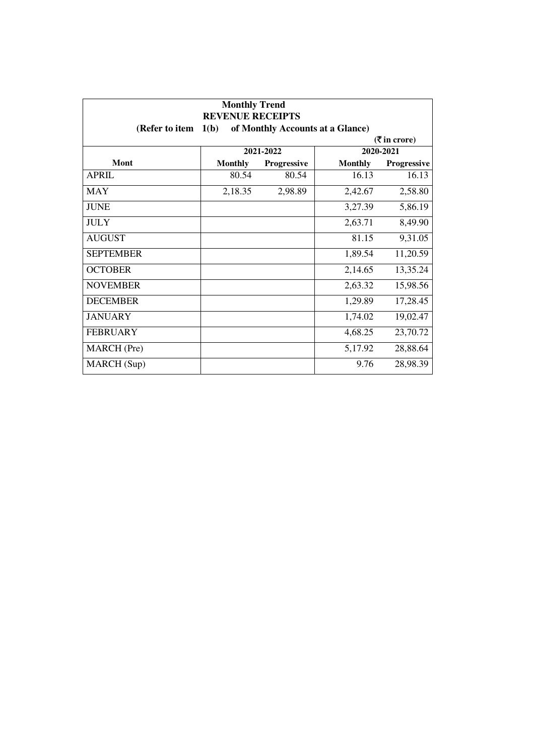| <b>Monthly Trend</b><br><b>REVENUE RECEIPTS</b><br>1(b)<br>of Monthly Accounts at a Glance)<br>(Refer to item |                |             |                |             |  |
|---------------------------------------------------------------------------------------------------------------|----------------|-------------|----------------|-------------|--|
| $(5 \text{ in } \text{core})$                                                                                 |                |             |                |             |  |
|                                                                                                               |                | 2021-2022   |                | 2020-2021   |  |
| Mont                                                                                                          | <b>Monthly</b> | Progressive | <b>Monthly</b> | Progressive |  |
| <b>APRIL</b>                                                                                                  | 80.54          | 80.54       | 16.13          | 16.13       |  |
| <b>MAY</b>                                                                                                    | 2,18.35        | 2,98.89     | 2,42.67        | 2,58.80     |  |
| <b>JUNE</b>                                                                                                   |                |             | 3,27.39        | 5,86.19     |  |
| <b>JULY</b>                                                                                                   |                |             | 2,63.71        | 8,49.90     |  |
| <b>AUGUST</b>                                                                                                 |                |             | 81.15          | 9,31.05     |  |
| <b>SEPTEMBER</b>                                                                                              |                |             | 1,89.54        | 11,20.59    |  |
| <b>OCTOBER</b>                                                                                                |                |             | 2,14.65        | 13,35.24    |  |
| <b>NOVEMBER</b>                                                                                               |                |             | 2,63.32        | 15,98.56    |  |
| <b>DECEMBER</b>                                                                                               |                |             | 1,29.89        | 17,28.45    |  |
| <b>JANUARY</b>                                                                                                |                |             | 1,74.02        | 19,02.47    |  |
| <b>FEBRUARY</b>                                                                                               |                |             | 4,68.25        | 23,70.72    |  |
| <b>MARCH</b> (Pre)                                                                                            |                |             | 5,17.92        | 28,88.64    |  |
| MARCH (Sup)                                                                                                   |                |             | 9.76           | 28,98.39    |  |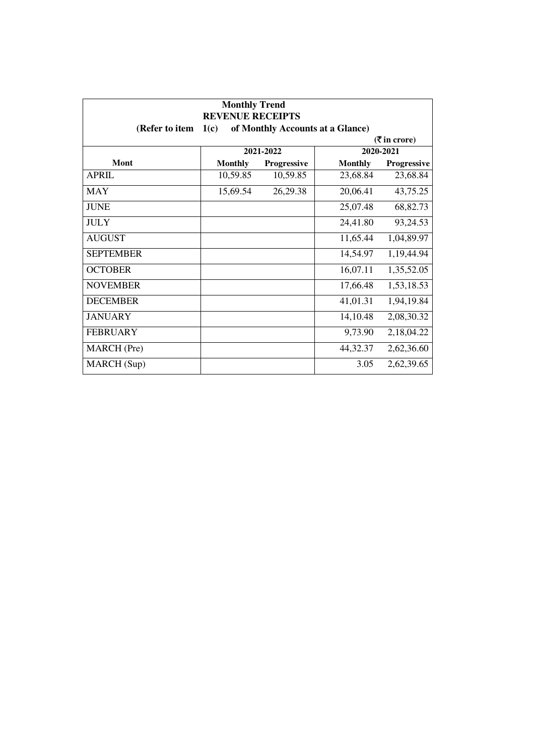| <b>Monthly Trend</b><br><b>REVENUE RECEIPTS</b><br>of Monthly Accounts at a Glance)<br>(Refer to item<br>1(c) |                |             |                |             |  |
|---------------------------------------------------------------------------------------------------------------|----------------|-------------|----------------|-------------|--|
| $(5 \text{ in } \text{core})$                                                                                 |                |             |                |             |  |
|                                                                                                               |                | 2021-2022   |                | 2020-2021   |  |
| Mont                                                                                                          | <b>Monthly</b> | Progressive | <b>Monthly</b> | Progressive |  |
| <b>APRIL</b>                                                                                                  | 10,59.85       | 10,59.85    | 23,68.84       | 23,68.84    |  |
| <b>MAY</b>                                                                                                    | 15,69.54       | 26,29.38    | 20,06.41       | 43,75.25    |  |
| <b>JUNE</b>                                                                                                   |                |             | 25,07.48       | 68,82.73    |  |
| <b>JULY</b>                                                                                                   |                |             | 24,41.80       | 93,24.53    |  |
| <b>AUGUST</b>                                                                                                 |                |             | 11,65.44       | 1,04,89.97  |  |
| <b>SEPTEMBER</b>                                                                                              |                |             | 14,54.97       | 1,19,44.94  |  |
| <b>OCTOBER</b>                                                                                                |                |             | 16,07.11       | 1,35,52.05  |  |
| <b>NOVEMBER</b>                                                                                               |                |             | 17,66.48       | 1,53,18.53  |  |
| <b>DECEMBER</b>                                                                                               |                |             | 41,01.31       | 1,94,19.84  |  |
| <b>JANUARY</b>                                                                                                |                |             | 14,10.48       | 2,08,30.32  |  |
| <b>FEBRUARY</b>                                                                                               |                |             | 9,73.90        | 2,18,04.22  |  |
| <b>MARCH</b> (Pre)                                                                                            |                |             | 44,32.37       | 2,62,36.60  |  |
| MARCH (Sup)                                                                                                   |                |             | 3.05           | 2,62,39.65  |  |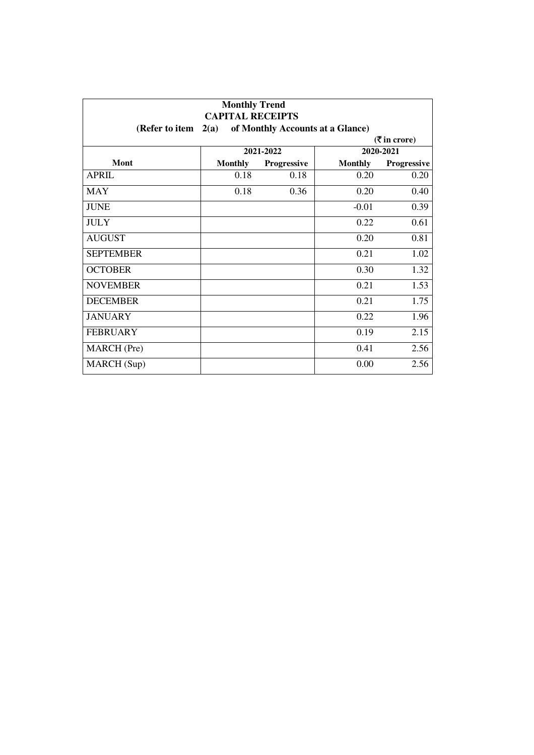| <b>Monthly Trend</b><br><b>CAPITAL RECEIPTS</b>            |                |             |                |             |  |
|------------------------------------------------------------|----------------|-------------|----------------|-------------|--|
| of Monthly Accounts at a Glance)<br>2(a)<br>(Refer to item |                |             |                |             |  |
| $(3\overline{5})$ in crore)                                |                |             |                |             |  |
|                                                            |                | 2021-2022   |                | 2020-2021   |  |
| Mont                                                       | <b>Monthly</b> | Progressive | <b>Monthly</b> | Progressive |  |
| <b>APRIL</b>                                               | 0.18           | 0.18        | 0.20           | 0.20        |  |
| MAY                                                        | 0.18           | 0.36        | 0.20           | 0.40        |  |
| <b>JUNE</b>                                                |                |             | $-0.01$        | 0.39        |  |
| <b>JULY</b>                                                |                |             | 0.22           | 0.61        |  |
| <b>AUGUST</b>                                              |                |             | 0.20           | 0.81        |  |
| <b>SEPTEMBER</b>                                           |                |             | 0.21           | 1.02        |  |
| <b>OCTOBER</b>                                             |                |             | 0.30           | 1.32        |  |
| <b>NOVEMBER</b>                                            |                |             | 0.21           | 1.53        |  |
| <b>DECEMBER</b>                                            |                |             | 0.21           | 1.75        |  |
| <b>JANUARY</b>                                             |                |             | 0.22           | 1.96        |  |
| <b>FEBRUARY</b>                                            |                |             | 0.19           | 2.15        |  |
| MARCH (Pre)                                                |                |             | 0.41           | 2.56        |  |
| MARCH (Sup)                                                |                |             | 0.00           | 2.56        |  |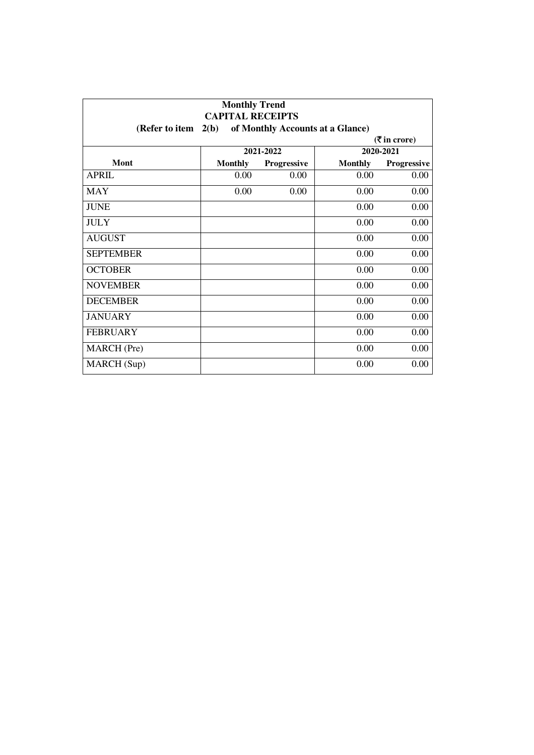| <b>Monthly Trend</b><br><b>CAPITAL RECEIPTS</b><br>2(b)<br>of Monthly Accounts at a Glance)<br>(Refer to item |                |             |                |             |
|---------------------------------------------------------------------------------------------------------------|----------------|-------------|----------------|-------------|
|                                                                                                               |                |             |                |             |
|                                                                                                               |                | 2021-2022   |                | 2020-2021   |
| Mont                                                                                                          | <b>Monthly</b> | Progressive | <b>Monthly</b> | Progressive |
| <b>APRIL</b>                                                                                                  | 0.00           | 0.00        | 0.00           | 0.00        |
| <b>MAY</b>                                                                                                    | 0.00           | 0.00        | 0.00           | 0.00        |
| <b>JUNE</b>                                                                                                   |                |             | 0.00           | 0.00        |
| <b>JULY</b>                                                                                                   |                |             | 0.00           | 0.00        |
| <b>AUGUST</b>                                                                                                 |                |             | 0.00           | 0.00        |
| <b>SEPTEMBER</b>                                                                                              |                |             | 0.00           | 0.00        |
| <b>OCTOBER</b>                                                                                                |                |             | 0.00           | 0.00        |
| <b>NOVEMBER</b>                                                                                               |                |             | 0.00           | 0.00        |
| <b>DECEMBER</b>                                                                                               |                |             | 0.00           | 0.00        |
| <b>JANUARY</b>                                                                                                |                |             | 0.00           | 0.00        |
| <b>FEBRUARY</b>                                                                                               |                |             | 0.00           | 0.00        |
| <b>MARCH</b> (Pre)                                                                                            |                |             | 0.00           | 0.00        |
| MARCH (Sup)                                                                                                   |                |             | 0.00           | 0.00        |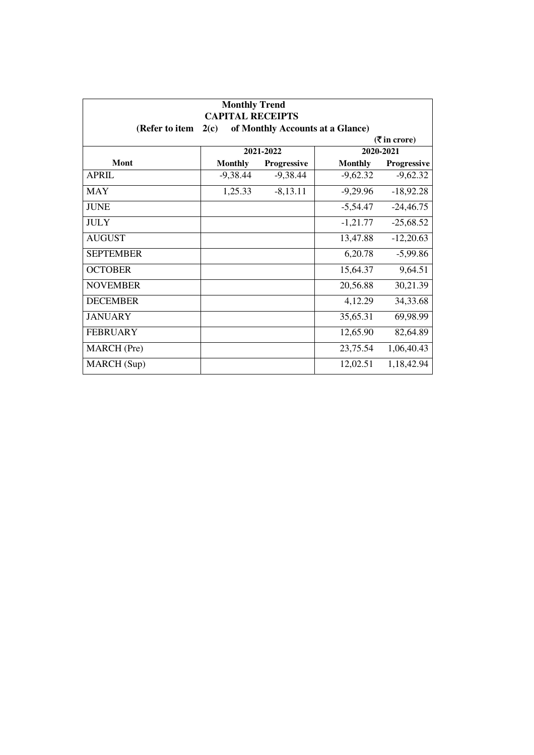| <b>Monthly Trend</b><br><b>CAPITAL RECEIPTS</b><br>of Monthly Accounts at a Glance)<br>(Refer to item<br>2(c) |                |             |                |             |  |
|---------------------------------------------------------------------------------------------------------------|----------------|-------------|----------------|-------------|--|
| $(3\overline{5})$ in crore)                                                                                   |                |             |                |             |  |
|                                                                                                               |                | 2021-2022   |                | 2020-2021   |  |
| Mont                                                                                                          | <b>Monthly</b> | Progressive | <b>Monthly</b> | Progressive |  |
| <b>APRIL</b>                                                                                                  | $-9,38.44$     | $-9,38.44$  | $-9,62.32$     | $-9,62.32$  |  |
| <b>MAY</b>                                                                                                    | 1,25.33        | $-8,13.11$  | $-9,29.96$     | $-18,92.28$ |  |
| <b>JUNE</b>                                                                                                   |                |             | $-5,54.47$     | $-24,46.75$ |  |
| <b>JULY</b>                                                                                                   |                |             | $-1,21.77$     | $-25,68.52$ |  |
| <b>AUGUST</b>                                                                                                 |                |             | 13,47.88       | $-12,20.63$ |  |
| <b>SEPTEMBER</b>                                                                                              |                |             | 6,20.78        | $-5,99.86$  |  |
| <b>OCTOBER</b>                                                                                                |                |             | 15,64.37       | 9,64.51     |  |
| <b>NOVEMBER</b>                                                                                               |                |             | 20,56.88       | 30,21.39    |  |
| <b>DECEMBER</b>                                                                                               |                |             | 4,12.29        | 34,33.68    |  |
| <b>JANUARY</b>                                                                                                |                |             | 35,65.31       | 69,98.99    |  |
| <b>FEBRUARY</b>                                                                                               |                |             | 12,65.90       | 82,64.89    |  |
| MARCH (Pre)                                                                                                   |                |             | 23,75.54       | 1,06,40.43  |  |
| MARCH (Sup)                                                                                                   |                |             | 12,02.51       | 1,18,42.94  |  |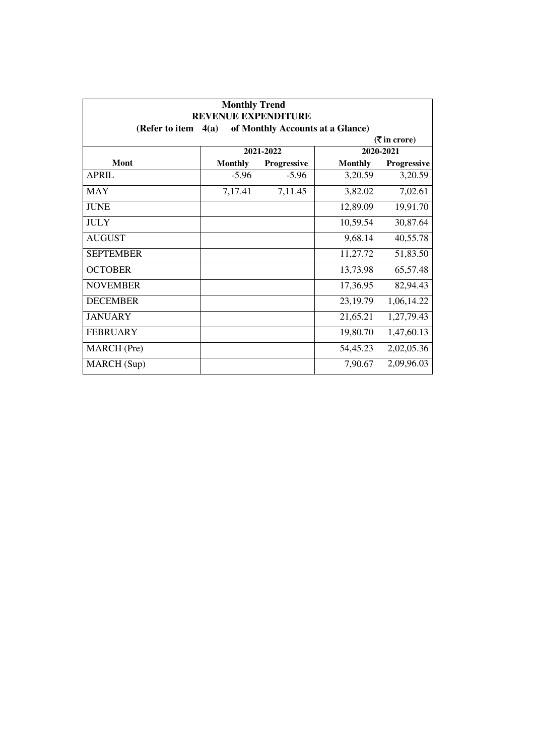| <b>Monthly Trend</b><br><b>REVENUE EXPENDITURE</b> |                |                                  |                |                             |
|----------------------------------------------------|----------------|----------------------------------|----------------|-----------------------------|
| (Refer to item                                     | 4(a)           | of Monthly Accounts at a Glance) |                |                             |
|                                                    |                |                                  |                | $(3\overline{5})$ in crore) |
|                                                    |                | 2021-2022                        |                | 2020-2021                   |
| Mont                                               | <b>Monthly</b> | <b>Progressive</b>               | <b>Monthly</b> | <b>Progressive</b>          |
| <b>APRIL</b>                                       | $-5.96$        | $-5.96$                          | 3,20.59        | 3,20.59                     |
| <b>MAY</b>                                         | 7,17.41        | 7,11.45                          | 3,82.02        | 7,02.61                     |
| <b>JUNE</b>                                        |                |                                  | 12,89.09       | 19,91.70                    |
| <b>JULY</b>                                        |                |                                  | 10,59.54       | 30,87.64                    |
| <b>AUGUST</b>                                      |                |                                  | 9,68.14        | 40,55.78                    |
| <b>SEPTEMBER</b>                                   |                |                                  | 11,27.72       | 51,83.50                    |
| <b>OCTOBER</b>                                     |                |                                  | 13,73.98       | 65,57.48                    |
| <b>NOVEMBER</b>                                    |                |                                  | 17,36.95       | 82,94.43                    |
| <b>DECEMBER</b>                                    |                |                                  | 23,19.79       | 1,06,14.22                  |
| <b>JANUARY</b>                                     |                |                                  | 21,65.21       | 1,27,79.43                  |
| <b>FEBRUARY</b>                                    |                |                                  | 19,80.70       | 1,47,60.13                  |
| MARCH (Pre)                                        |                |                                  | 54,45.23       | 2,02,05.36                  |
| MARCH (Sup)                                        |                |                                  | 7,90.67        | 2,09,96.03                  |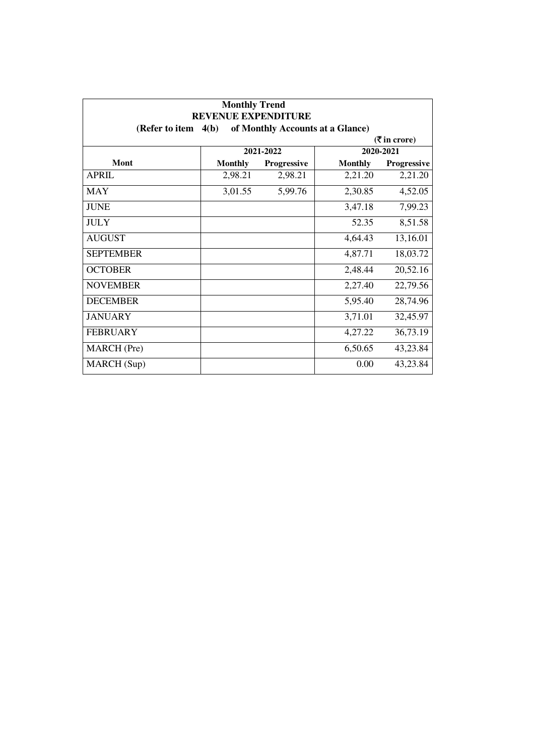| <b>Monthly Trend</b><br><b>REVENUE EXPENDITURE</b> |                |                                  |                |                                               |
|----------------------------------------------------|----------------|----------------------------------|----------------|-----------------------------------------------|
| (Refer to item                                     | 4(b)           | of Monthly Accounts at a Glance) |                |                                               |
|                                                    |                |                                  |                | $(\overline{\mathbf{\overline{z}}}$ in crore) |
|                                                    |                | 2021-2022                        |                | 2020-2021                                     |
| Mont                                               | <b>Monthly</b> | <b>Progressive</b>               | <b>Monthly</b> | Progressive                                   |
| <b>APRIL</b>                                       | 2,98.21        | 2,98.21                          | 2,21.20        | 2,21.20                                       |
| <b>MAY</b>                                         | 3,01.55        | 5,99.76                          | 2,30.85        | 4,52.05                                       |
| <b>JUNE</b>                                        |                |                                  | 3,47.18        | 7,99.23                                       |
| <b>JULY</b>                                        |                |                                  | 52.35          | 8,51.58                                       |
| <b>AUGUST</b>                                      |                |                                  | 4,64.43        | 13,16.01                                      |
| <b>SEPTEMBER</b>                                   |                |                                  | 4,87.71        | 18,03.72                                      |
| <b>OCTOBER</b>                                     |                |                                  | 2,48.44        | 20,52.16                                      |
| <b>NOVEMBER</b>                                    |                |                                  | 2,27.40        | 22,79.56                                      |
| <b>DECEMBER</b>                                    |                |                                  | 5,95.40        | 28,74.96                                      |
| <b>JANUARY</b>                                     |                |                                  | 3,71.01        | 32,45.97                                      |
| <b>FEBRUARY</b>                                    |                |                                  | 4,27.22        | 36,73.19                                      |
| <b>MARCH</b> (Pre)                                 |                |                                  | 6,50.65        | 43,23.84                                      |
| MARCH (Sup)                                        |                |                                  | 0.00           | 43,23.84                                      |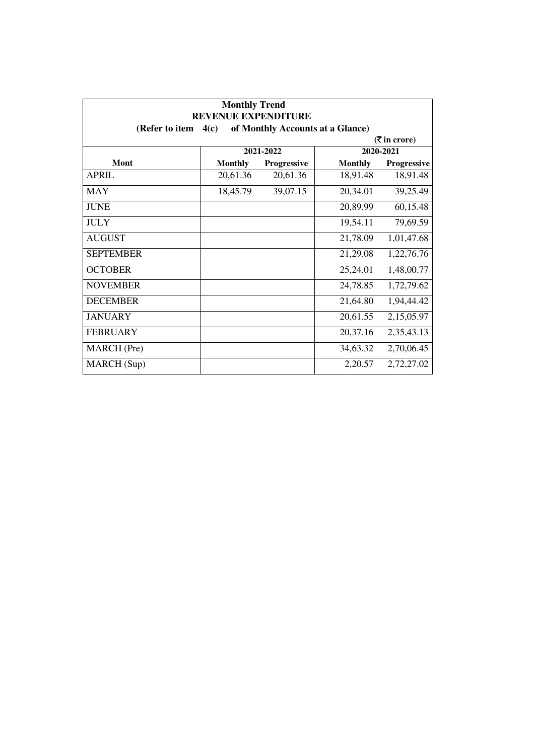| <b>Monthly Trend</b><br><b>REVENUE EXPENDITURE</b>         |                |             |                |                                               |  |
|------------------------------------------------------------|----------------|-------------|----------------|-----------------------------------------------|--|
| of Monthly Accounts at a Glance)<br>(Refer to item<br>4(c) |                |             |                |                                               |  |
|                                                            |                |             |                | $(\overline{\mathbf{\overline{z}}}$ in crore) |  |
|                                                            |                | 2021-2022   | 2020-2021      |                                               |  |
| Mont                                                       | <b>Monthly</b> | Progressive | <b>Monthly</b> | Progressive                                   |  |
| <b>APRIL</b>                                               | 20,61.36       | 20,61.36    | 18,91.48       | 18,91.48                                      |  |
| <b>MAY</b>                                                 | 18,45.79       | 39,07.15    | 20,34.01       | 39,25.49                                      |  |
| <b>JUNE</b>                                                |                |             | 20,89.99       | 60,15.48                                      |  |
| <b>JULY</b>                                                |                |             | 19,54.11       | 79,69.59                                      |  |
| <b>AUGUST</b>                                              |                |             | 21,78.09       | 1,01,47.68                                    |  |
| <b>SEPTEMBER</b>                                           |                |             | 21,29.08       | 1,22,76.76                                    |  |
| <b>OCTOBER</b>                                             |                |             | 25,24.01       | 1,48,00.77                                    |  |
| <b>NOVEMBER</b>                                            |                |             | 24,78.85       | 1,72,79.62                                    |  |
| <b>DECEMBER</b>                                            |                |             | 21,64.80       | 1,94,44.42                                    |  |
| <b>JANUARY</b>                                             |                |             | 20,61.55       | 2,15,05.97                                    |  |
| <b>FEBRUARY</b>                                            |                |             | 20,37.16       | 2,35,43.13                                    |  |
| MARCH (Pre)                                                |                |             | 34,63.32       | 2,70,06.45                                    |  |
| MARCH (Sup)                                                |                |             | 2,20.57        | 2,72,27.02                                    |  |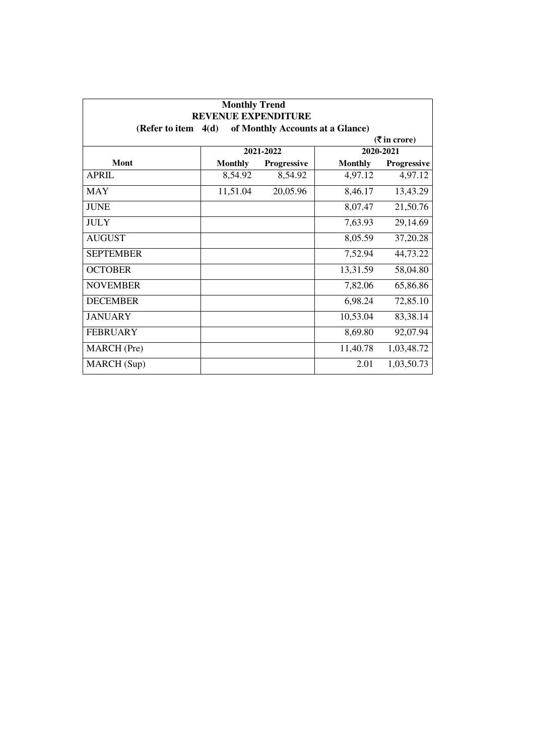| <b>Monthly Trend</b><br><b>REVENUE EXPENDITURE</b> |                |                    |                                  |                             |
|----------------------------------------------------|----------------|--------------------|----------------------------------|-----------------------------|
| (Refer to item                                     | 4(d)           |                    | of Monthly Accounts at a Glance) |                             |
|                                                    |                |                    |                                  | $(3\overline{5})$ in crore) |
|                                                    |                | 2021-2022          |                                  | 2020-2021                   |
| Mont                                               | <b>Monthly</b> | <b>Progressive</b> | <b>Monthly</b>                   | <b>Progressive</b>          |
| <b>APRIL</b>                                       | 8,54.92        | 8,54.92            | 4,97.12                          | 4,97.12                     |
| <b>MAY</b>                                         | 11,51.04       | 20,05.96           | 8,46.17                          | 13,43.29                    |
| <b>JUNE</b>                                        |                |                    | 8,07.47                          | 21,50.76                    |
| <b>JULY</b>                                        |                |                    | 7,63.93                          | 29,14.69                    |
| <b>AUGUST</b>                                      |                |                    | 8,05.59                          | 37,20.28                    |
| <b>SEPTEMBER</b>                                   |                |                    | 7,52.94                          | 44,73.22                    |
| <b>OCTOBER</b>                                     |                |                    | 13,31.59                         | 58,04.80                    |
| <b>NOVEMBER</b>                                    |                |                    | 7,82.06                          | 65,86.86                    |
| <b>DECEMBER</b>                                    |                |                    | 6,98.24                          | 72,85.10                    |
| <b>JANUARY</b>                                     |                |                    | 10,53.04                         | 83,38.14                    |
| <b>FEBRUARY</b>                                    |                |                    | 8,69.80                          | 92,07.94                    |
| MARCH (Pre)                                        |                |                    | 11,40.78                         | 1,03,48.72                  |
| MARCH (Sup)                                        |                |                    | 2.01                             | 1,03,50.73                  |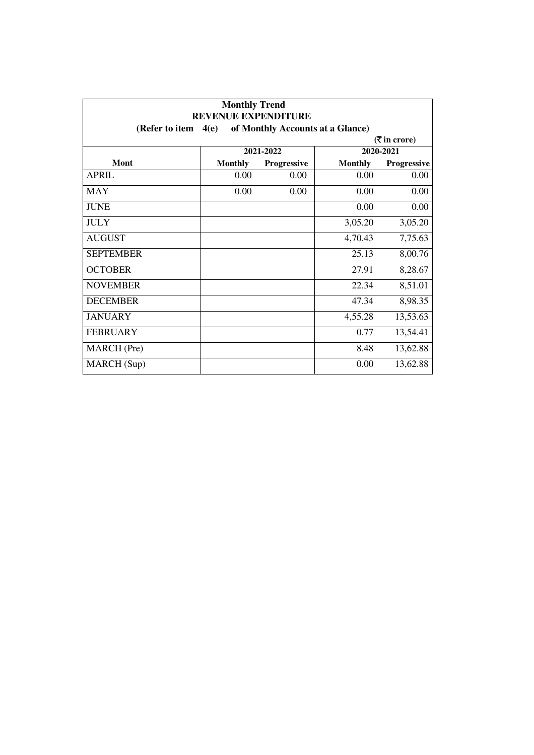| <b>Monthly Trend</b><br><b>REVENUE EXPENDITURE</b> |                |                                  |                |                                               |
|----------------------------------------------------|----------------|----------------------------------|----------------|-----------------------------------------------|
| (Refer to item                                     | 4(e)           | of Monthly Accounts at a Glance) |                |                                               |
|                                                    |                |                                  |                | $(\overline{\mathbf{\overline{z}}}$ in crore) |
|                                                    |                | 2021-2022                        |                | 2020-2021                                     |
| Mont                                               | <b>Monthly</b> | Progressive                      | <b>Monthly</b> | Progressive                                   |
| <b>APRIL</b>                                       | 0.00           | 0.00                             | 0.00           | 0.00                                          |
| <b>MAY</b>                                         | 0.00           | 0.00                             | 0.00           | 0.00                                          |
| <b>JUNE</b>                                        |                |                                  | 0.00           | 0.00                                          |
| <b>JULY</b>                                        |                |                                  | 3,05.20        | 3,05.20                                       |
| <b>AUGUST</b>                                      |                |                                  | 4,70.43        | 7,75.63                                       |
| <b>SEPTEMBER</b>                                   |                |                                  | 25.13          | 8,00.76                                       |
| <b>OCTOBER</b>                                     |                |                                  | 27.91          | 8,28.67                                       |
| <b>NOVEMBER</b>                                    |                |                                  | 22.34          | 8,51.01                                       |
| <b>DECEMBER</b>                                    |                |                                  | 47.34          | 8,98.35                                       |
| <b>JANUARY</b>                                     |                |                                  | 4,55.28        | 13,53.63                                      |
| <b>FEBRUARY</b>                                    |                |                                  | 0.77           | 13,54.41                                      |
| <b>MARCH</b> (Pre)                                 |                |                                  | 8.48           | 13,62.88                                      |
| MARCH (Sup)                                        |                |                                  | 0.00           | 13,62.88                                      |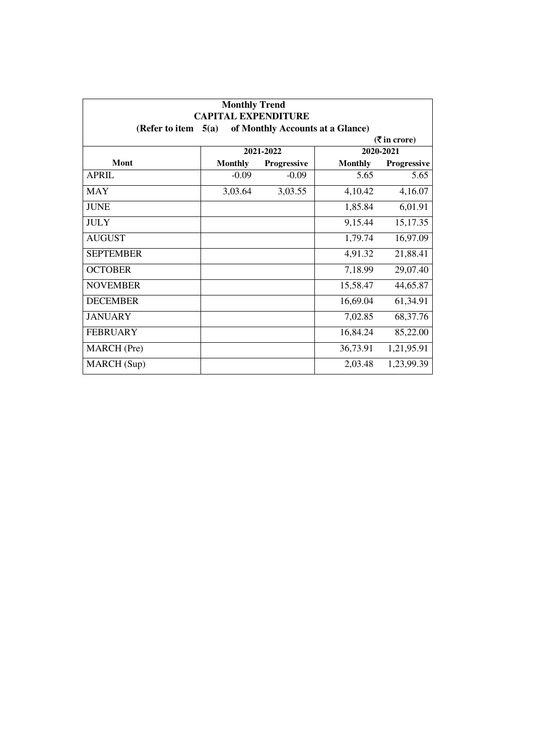| <b>Monthly Trend</b><br><b>CAPITAL EXPENDITURE</b><br>of Monthly Accounts at a Glance)<br>(Refer to item<br>5(a) |                |                    |                |             |  |  |  |  |
|------------------------------------------------------------------------------------------------------------------|----------------|--------------------|----------------|-------------|--|--|--|--|
|                                                                                                                  |                |                    |                |             |  |  |  |  |
|                                                                                                                  | 2021-2022      |                    |                | 2020-2021   |  |  |  |  |
| Mont                                                                                                             | <b>Monthly</b> | <b>Progressive</b> | <b>Monthly</b> | Progressive |  |  |  |  |
| <b>APRIL</b>                                                                                                     | $-0.09$        | $-0.09$            | 5.65           | 5.65        |  |  |  |  |
| <b>MAY</b>                                                                                                       | 3,03.64        | 3,03.55            | 4,10.42        | 4,16.07     |  |  |  |  |
| <b>JUNE</b>                                                                                                      |                |                    | 1,85.84        | 6,01.91     |  |  |  |  |
| <b>JULY</b>                                                                                                      |                |                    | 9,15.44        | 15,17.35    |  |  |  |  |
| <b>AUGUST</b>                                                                                                    |                |                    | 1,79.74        | 16,97.09    |  |  |  |  |
| <b>SEPTEMBER</b>                                                                                                 |                |                    | 4,91.32        | 21,88.41    |  |  |  |  |
| <b>OCTOBER</b>                                                                                                   |                |                    | 7,18.99        | 29,07.40    |  |  |  |  |
| <b>NOVEMBER</b>                                                                                                  |                |                    | 15,58.47       | 44,65.87    |  |  |  |  |
| <b>DECEMBER</b>                                                                                                  |                |                    | 16,69.04       | 61,34.91    |  |  |  |  |
| <b>JANUARY</b>                                                                                                   |                |                    | 7,02.85        | 68, 37. 76  |  |  |  |  |
| <b>FEBRUARY</b>                                                                                                  |                |                    | 16,84.24       | 85,22.00    |  |  |  |  |
| MARCH (Pre)                                                                                                      |                |                    | 36,73.91       | 1,21,95.91  |  |  |  |  |
| MARCH (Sup)                                                                                                      |                |                    | 2,03.48        | 1,23,99.39  |  |  |  |  |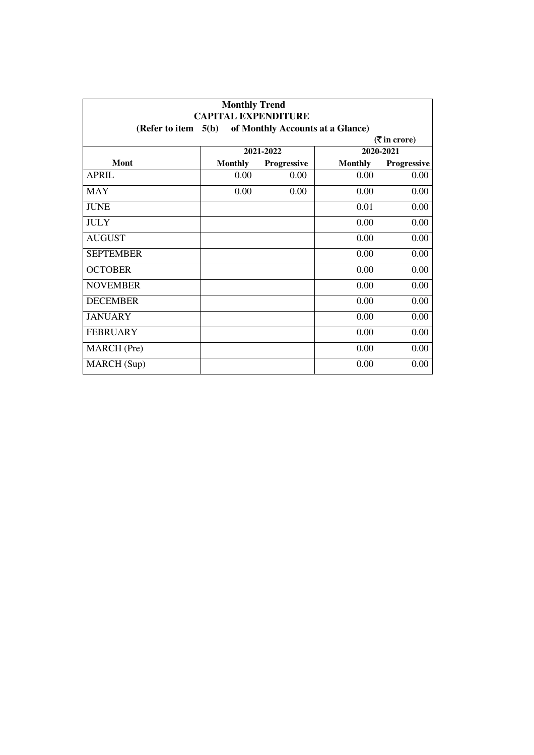| <b>Monthly Trend</b><br><b>CAPITAL EXPENDITURE</b><br>of Monthly Accounts at a Glance)<br>(Refer to item $5(b)$ ) |                |             |                |             |  |  |  |
|-------------------------------------------------------------------------------------------------------------------|----------------|-------------|----------------|-------------|--|--|--|
|                                                                                                                   |                |             |                |             |  |  |  |
|                                                                                                                   | 2021-2022      |             | 2020-2021      |             |  |  |  |
| <b>Mont</b>                                                                                                       | <b>Monthly</b> | Progressive | <b>Monthly</b> | Progressive |  |  |  |
| <b>APRIL</b>                                                                                                      | 0.00           | 0.00        | 0.00           | 0.00        |  |  |  |
| <b>MAY</b>                                                                                                        | 0.00           | 0.00        | 0.00           | 0.00        |  |  |  |
| <b>JUNE</b>                                                                                                       |                |             | 0.01           | 0.00        |  |  |  |
| <b>JULY</b>                                                                                                       |                |             | 0.00           | 0.00        |  |  |  |
| <b>AUGUST</b>                                                                                                     |                |             | 0.00           | 0.00        |  |  |  |
| <b>SEPTEMBER</b>                                                                                                  |                |             | 0.00           | 0.00        |  |  |  |
| <b>OCTOBER</b>                                                                                                    |                |             | 0.00           | 0.00        |  |  |  |
| <b>NOVEMBER</b>                                                                                                   |                |             | 0.00           | 0.00        |  |  |  |
| <b>DECEMBER</b>                                                                                                   |                |             | 0.00           | 0.00        |  |  |  |
| <b>JANUARY</b>                                                                                                    |                |             | 0.00           | 0.00        |  |  |  |
| <b>FEBRUARY</b>                                                                                                   |                |             | 0.00           | 0.00        |  |  |  |
| MARCH (Pre)                                                                                                       |                |             | 0.00           | 0.00        |  |  |  |
| MARCH (Sup)                                                                                                       |                |             | 0.00           | 0.00        |  |  |  |